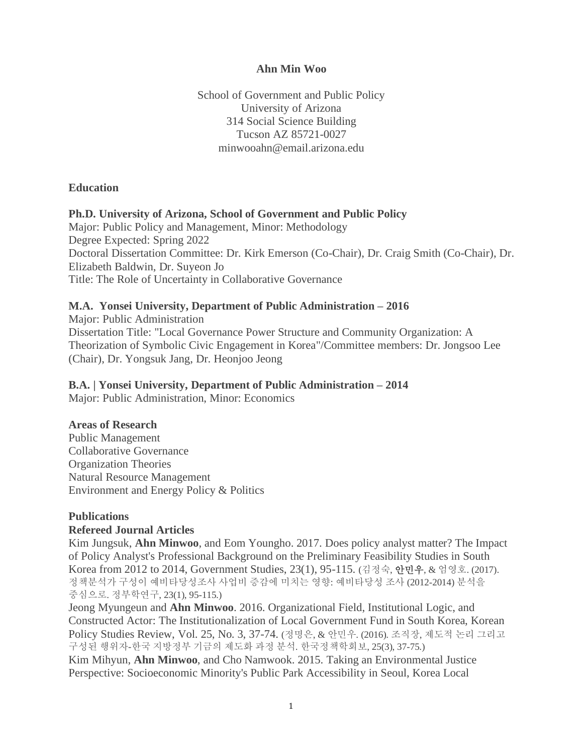#### **Ahn Min Woo**

School of Government and Public Policy University of Arizona 314 Social Science Building Tucson AZ 85721-0027 minwooahn@email.arizona.edu

#### **Education**

### **Ph.D. University of Arizona, School of Government and Public Policy**

Major: Public Policy and Management, Minor: Methodology Degree Expected: Spring 2022 Doctoral Dissertation Committee: Dr. Kirk Emerson (Co-Chair), Dr. Craig Smith (Co-Chair), Dr. Elizabeth Baldwin, Dr. Suyeon Jo Title: The Role of Uncertainty in Collaborative Governance

### **M.A. Yonsei University, Department of Public Administration – 2016**

Major: Public Administration Dissertation Title: "Local Governance Power Structure and Community Organization: A Theorization of Symbolic Civic Engagement in Korea"/Committee members: Dr. Jongsoo Lee (Chair), Dr. Yongsuk Jang, Dr. Heonjoo Jeong

**B.A. | Yonsei University, Department of Public Administration – 2014** Major: Public Administration, Minor: Economics

#### **Areas of Research**

Public Management Collaborative Governance Organization Theories Natural Resource Management Environment and Energy Policy & Politics

## **Publications**

## **Refereed Journal Articles**

Kim Jungsuk, **Ahn Minwoo**, and Eom Youngho. 2017. Does policy analyst matter? The Impact of Policy Analyst's Professional Background on the Preliminary Feasibility Studies in South Korea from 2012 to 2014, Government Studies, 23(1), 95-115. (김정숙, 안민우, & 엄영호. (2017). 정책분석가 구성이 예비타당성조사 사업비 증감에 미치는 영향: 예비타당성 조사 (2012-2014) 분석을 중심으로. 정부학연구, 23(1), 95-115.)

Jeong Myungeun and **Ahn Minwoo**. 2016. Organizational Field, Institutional Logic, and Constructed Actor: The Institutionalization of Local Government Fund in South Korea, Korean Policy Studies Review, Vol. 25, No. 3, 37-74. (정명은, & 안민우. (2016). 조직장, 제도적 논리 그리고 구성된 행위자-한국 지방정부 기금의 제도화 과정 분석. 한국정책학회보, 25(3), 37-75.)

Kim Mihyun, **Ahn Minwoo**, and Cho Namwook. 2015. Taking an Environmental Justice Perspective: Socioeconomic Minority's Public Park Accessibility in Seoul, Korea Local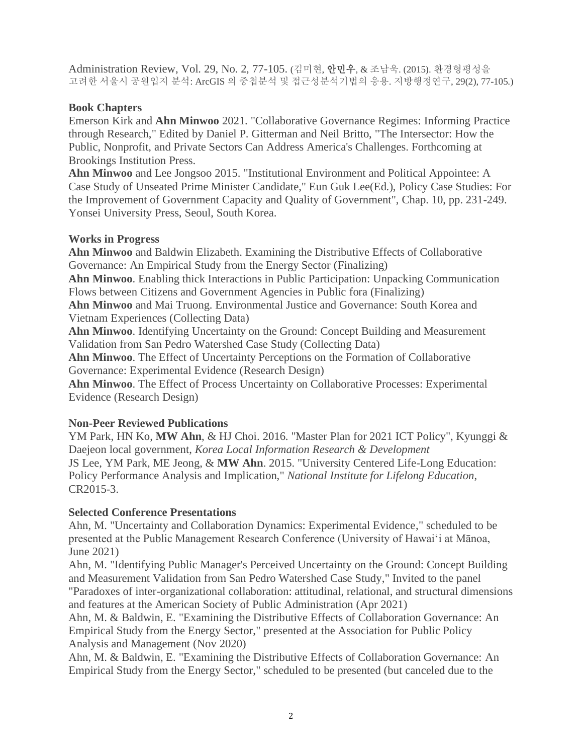Administration Review, Vol. 29, No. 2, 77-105. (김미현, 안민우, & 조남욱. (2015). 환경형평성을 고려한 서울시 공원입지 분석: ArcGIS 의 중첩분석 및 접근성분석기법의 응용. 지방행정연구, 29(2), 77-105.)

# **Book Chapters**

Emerson Kirk and **Ahn Minwoo** 2021. "Collaborative Governance Regimes: Informing Practice through Research," Edited by Daniel P. Gitterman and Neil Britto, "The Intersector: How the Public, Nonprofit, and Private Sectors Can Address America's Challenges. Forthcoming at Brookings Institution Press.

**Ahn Minwoo** and Lee Jongsoo 2015. "Institutional Environment and Political Appointee: A Case Study of Unseated Prime Minister Candidate," Eun Guk Lee(Ed.), Policy Case Studies: For the Improvement of Government Capacity and Quality of Government", Chap. 10, pp. 231-249. Yonsei University Press, Seoul, South Korea.

## **Works in Progress**

**Ahn Minwoo** and Baldwin Elizabeth. Examining the Distributive Effects of Collaborative Governance: An Empirical Study from the Energy Sector (Finalizing)

**Ahn Minwoo**. Enabling thick Interactions in Public Participation: Unpacking Communication Flows between Citizens and Government Agencies in Public fora (Finalizing)

**Ahn Minwoo** and Mai Truong. Environmental Justice and Governance: South Korea and Vietnam Experiences (Collecting Data)

**Ahn Minwoo**. Identifying Uncertainty on the Ground: Concept Building and Measurement Validation from San Pedro Watershed Case Study (Collecting Data)

**Ahn Minwoo**. The Effect of Uncertainty Perceptions on the Formation of Collaborative Governance: Experimental Evidence (Research Design)

**Ahn Minwoo**. The Effect of Process Uncertainty on Collaborative Processes: Experimental Evidence (Research Design)

# **Non-Peer Reviewed Publications**

YM Park, HN Ko, MW Ahn, & HJ Choi. 2016. "Master Plan for 2021 ICT Policy", Kyunggi & Daejeon local government, *Korea Local Information Research & Development* JS Lee, YM Park, ME Jeong, & **MW Ahn**. 2015. "University Centered Life-Long Education: Policy Performance Analysis and Implication," *National Institute for Lifelong Education*, CR2015-3.

## **Selected Conference Presentations**

Ahn, M. "Uncertainty and Collaboration Dynamics: Experimental Evidence," scheduled to be presented at the Public Management Research Conference (University of Hawaiʻi at Mānoa, June 2021)

Ahn, M. "Identifying Public Manager's Perceived Uncertainty on the Ground: Concept Building and Measurement Validation from San Pedro Watershed Case Study," Invited to the panel "Paradoxes of inter-organizational collaboration: attitudinal, relational, and structural dimensions and features at the American Society of Public Administration (Apr 2021)

Ahn, M. & Baldwin, E. "Examining the Distributive Effects of Collaboration Governance: An Empirical Study from the Energy Sector," presented at the Association for Public Policy Analysis and Management (Nov 2020)

Ahn, M. & Baldwin, E. "Examining the Distributive Effects of Collaboration Governance: An Empirical Study from the Energy Sector," scheduled to be presented (but canceled due to the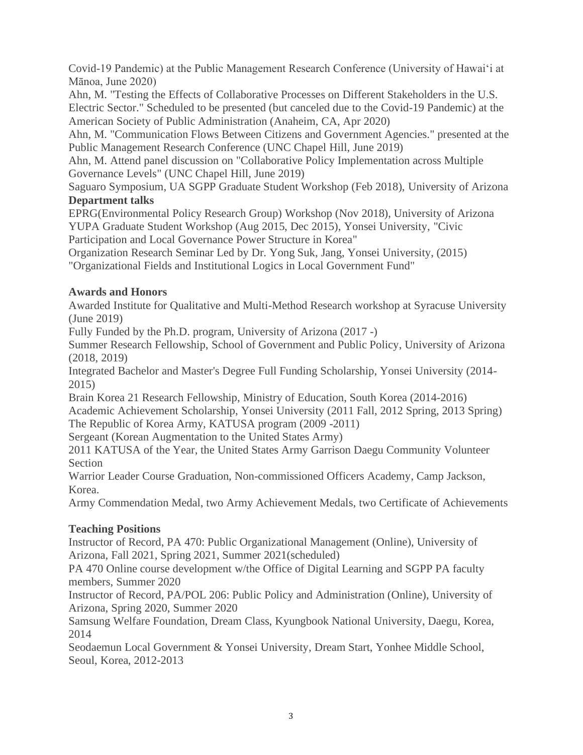Covid-19 Pandemic) at the Public Management Research Conference (University of Hawaiʻi at Mānoa, June 2020)

Ahn, M. "Testing the Effects of Collaborative Processes on Different Stakeholders in the U.S. Electric Sector." Scheduled to be presented (but canceled due to the Covid-19 Pandemic) at the American Society of Public Administration (Anaheim, CA, Apr 2020)

Ahn, M. "Communication Flows Between Citizens and Government Agencies." presented at the Public Management Research Conference (UNC Chapel Hill, June 2019)

Ahn, M. Attend panel discussion on "Collaborative Policy Implementation across Multiple Governance Levels" (UNC Chapel Hill, June 2019)

Saguaro Symposium, UA SGPP Graduate Student Workshop (Feb 2018), University of Arizona **Department talks**

EPRG(Environmental Policy Research Group) Workshop (Nov 2018), University of Arizona YUPA Graduate Student Workshop (Aug 2015, Dec 2015), Yonsei University, "Civic Participation and Local Governance Power Structure in Korea"

Organization Research Seminar Led by Dr. Yong Suk, Jang, Yonsei University, (2015) "Organizational Fields and Institutional Logics in Local Government Fund"

# **Awards and Honors**

Awarded Institute for Qualitative and Multi-Method Research workshop at Syracuse University (June 2019)

Fully Funded by the Ph.D. program, University of Arizona (2017 -)

Summer Research Fellowship, School of Government and Public Policy, University of Arizona (2018, 2019)

Integrated Bachelor and Master's Degree Full Funding Scholarship, Yonsei University (2014- 2015)

Brain Korea 21 Research Fellowship, Ministry of Education, South Korea (2014-2016) Academic Achievement Scholarship, Yonsei University (2011 Fall, 2012 Spring, 2013 Spring) The Republic of Korea Army, KATUSA program (2009 -2011)

Sergeant (Korean Augmentation to the United States Army)

2011 KATUSA of the Year, the United States Army Garrison Daegu Community Volunteer Section

Warrior Leader Course Graduation, Non-commissioned Officers Academy, Camp Jackson, Korea.

Army Commendation Medal, two Army Achievement Medals, two Certificate of Achievements

# **Teaching Positions**

Instructor of Record, PA 470: Public Organizational Management (Online), University of Arizona, Fall 2021, Spring 2021, Summer 2021(scheduled)

PA 470 Online course development w/the Office of Digital Learning and SGPP PA faculty members, Summer 2020

Instructor of Record, PA/POL 206: Public Policy and Administration (Online), University of Arizona, Spring 2020, Summer 2020

Samsung Welfare Foundation, Dream Class, Kyungbook National University, Daegu, Korea, 2014

Seodaemun Local Government & Yonsei University, Dream Start, Yonhee Middle School, Seoul, Korea, 2012-2013